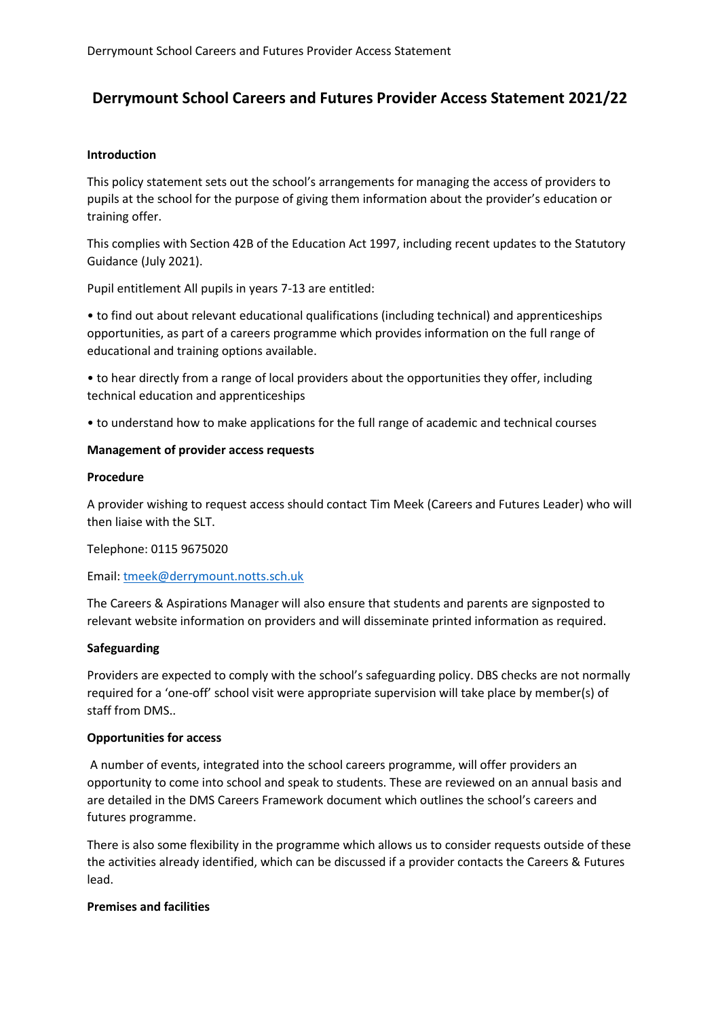# **Derrymount School Careers and Futures Provider Access Statement 2021/22**

### **Introduction**

This policy statement sets out the school's arrangements for managing the access of providers to pupils at the school for the purpose of giving them information about the provider's education or training offer.

This complies with Section 42B of the Education Act 1997, including recent updates to the Statutory Guidance (July 2021).

Pupil entitlement All pupils in years 7-13 are entitled:

• to find out about relevant educational qualifications (including technical) and apprenticeships opportunities, as part of a careers programme which provides information on the full range of educational and training options available.

• to hear directly from a range of local providers about the opportunities they offer, including technical education and apprenticeships

• to understand how to make applications for the full range of academic and technical courses

## **Management of provider access requests**

#### **Procedure**

A provider wishing to request access should contact Tim Meek (Careers and Futures Leader) who will then liaise with the SLT.

Telephone: 0115 9675020

Email: [tmeek@derrymount.notts.sch.uk](mailto:tmeek@derrymount.notts.sch.uk)

The Careers & Aspirations Manager will also ensure that students and parents are signposted to relevant website information on providers and will disseminate printed information as required.

#### **Safeguarding**

Providers are expected to comply with the school's safeguarding policy. DBS checks are not normally required for a 'one-off' school visit were appropriate supervision will take place by member(s) of staff from DMS..

#### **Opportunities for access**

A number of events, integrated into the school careers programme, will offer providers an opportunity to come into school and speak to students. These are reviewed on an annual basis and are detailed in the DMS Careers Framework document which outlines the school's careers and futures programme.

There is also some flexibility in the programme which allows us to consider requests outside of these the activities already identified, which can be discussed if a provider contacts the Careers & Futures lead.

#### **Premises and facilities**